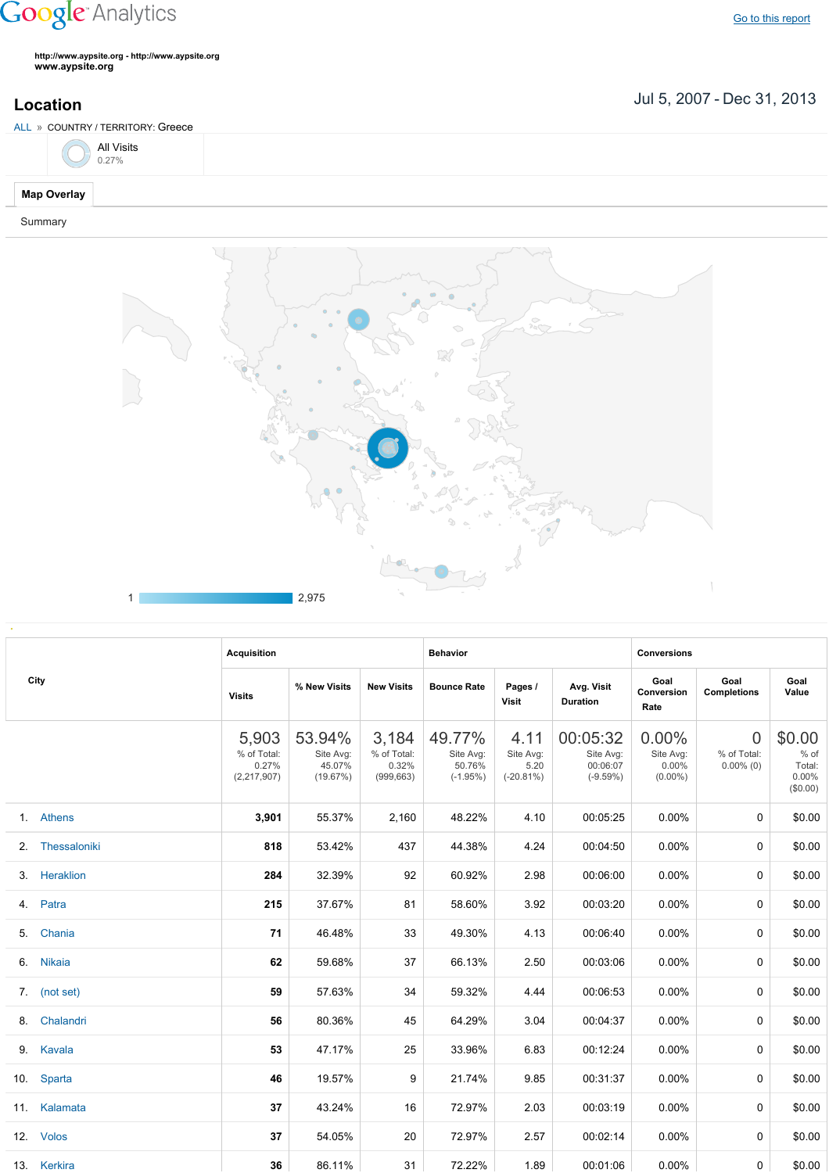## **Google** Analytics

Go to this [report](https://www.google.com/analytics/web/?utm_source=pdfReportLink#report/visitors-geo/a2184169w3912412p4016214/%3F_u.date00%3D20070705%26_u.date01%3D20131231%26geo-table.plotKeys%3D%5B%5D%26geo-table.rowStart%3D0%26geo-table.rowCount%3D1000%26_r.drilldown%3Danalytics.country%3AGR/)

**http://www.aypsite.org http://www.aypsite.org www.aypsite.org**

**Location** Jul 5, 2007 - Dec 31, 2013

| ALL » COUNTRY / TERRITORY: Greece |  |
|-----------------------------------|--|
| All Visits $0.27\%$               |  |
| <b>Map Overlay</b>                |  |

Summary



|    | City            | <b>Acquisition</b>                           |                                           |                                             | <b>Behavior</b>                             |                                           |                                                 | <b>Conversions</b>                              |                                         |                                                  |  |
|----|-----------------|----------------------------------------------|-------------------------------------------|---------------------------------------------|---------------------------------------------|-------------------------------------------|-------------------------------------------------|-------------------------------------------------|-----------------------------------------|--------------------------------------------------|--|
|    |                 | <b>Visits</b>                                | % New Visits                              | <b>New Visits</b>                           | <b>Bounce Rate</b>                          | Pages /<br>Visit                          | Avg. Visit<br><b>Duration</b>                   | Goal<br>Conversion<br>Rate                      | Goal<br><b>Completions</b>              | Goal<br>Value                                    |  |
|    |                 | 5,903<br>% of Total:<br>0.27%<br>(2,217,907) | 53.94%<br>Site Avg:<br>45.07%<br>(19.67%) | 3,184<br>% of Total:<br>0.32%<br>(999, 663) | 49.77%<br>Site Avg:<br>50.76%<br>$(-1.95%)$ | 4.11<br>Site Avg:<br>5.20<br>$(-20.81\%)$ | 00:05:32<br>Site Avg:<br>00:06:07<br>$(-9.59%)$ | $0.00\%$<br>Site Avg:<br>$0.00\%$<br>$(0.00\%)$ | $\Omega$<br>% of Total:<br>$0.00\%$ (0) | \$0.00<br>% of<br>Total:<br>$0.00\%$<br>(\$0.00) |  |
|    | 1. Athens       | 3,901                                        | 55.37%                                    | 2,160                                       | 48.22%                                      | 4.10                                      | 00:05:25                                        | $0.00\%$                                        | $\mathbf 0$                             | \$0.00                                           |  |
|    | 2. Thessaloniki | 818                                          | 53.42%                                    | 437                                         | 44.38%                                      | 4.24                                      | 00:04:50                                        | $0.00\%$                                        | 0                                       | \$0.00                                           |  |
|    | 3. Heraklion    | 284                                          | 32.39%                                    | 92                                          | 60.92%                                      | 2.98                                      | 00:06:00                                        | $0.00\%$                                        | 0                                       | \$0.00                                           |  |
|    | 4. Patra        | 215                                          | 37.67%                                    | 81                                          | 58.60%                                      | 3.92                                      | 00:03:20                                        | $0.00\%$                                        | 0                                       | \$0.00                                           |  |
| 5. | Chania          | 71                                           | 46.48%                                    | 33                                          | 49.30%                                      | 4.13                                      | 00:06:40                                        | $0.00\%$                                        | 0                                       | \$0.00                                           |  |
| 6. | <b>Nikaia</b>   | 62                                           | 59.68%                                    | 37                                          | 66.13%                                      | 2.50                                      | 00:03:06                                        | $0.00\%$                                        | 0                                       | \$0.00                                           |  |
|    | 7. (not set)    | 59                                           | 57.63%                                    | 34                                          | 59.32%                                      | 4.44                                      | 00:06:53                                        | $0.00\%$                                        | 0                                       | \$0.00                                           |  |
|    | 8. Chalandri    | 56                                           | 80.36%                                    | 45                                          | 64.29%                                      | 3.04                                      | 00:04:37                                        | $0.00\%$                                        | $\mathbf 0$                             | \$0.00                                           |  |
|    | 9. Kavala       | 53                                           | 47.17%                                    | 25                                          | 33.96%                                      | 6.83                                      | 00:12:24                                        | $0.00\%$                                        | 0                                       | \$0.00                                           |  |
|    | 10. Sparta      | 46                                           | 19.57%                                    | 9                                           | 21.74%                                      | 9.85                                      | 00:31:37                                        | $0.00\%$                                        | 0                                       | \$0.00                                           |  |
|    | 11. Kalamata    | 37                                           | 43.24%                                    | 16                                          | 72.97%                                      | 2.03                                      | 00:03:19                                        | $0.00\%$                                        | 0                                       | \$0.00                                           |  |
|    | 12. Volos       | 37                                           | 54.05%                                    | 20                                          | 72.97%                                      | 2.57                                      | 00:02:14                                        | $0.00\%$                                        | 0                                       | \$0.00                                           |  |
|    | 13. Kerkira     | 36                                           | 86.11%                                    | 31                                          | 72.22%                                      | 1.89                                      | 00:01:06                                        | $0.00\%$                                        | 0                                       | \$0.00                                           |  |